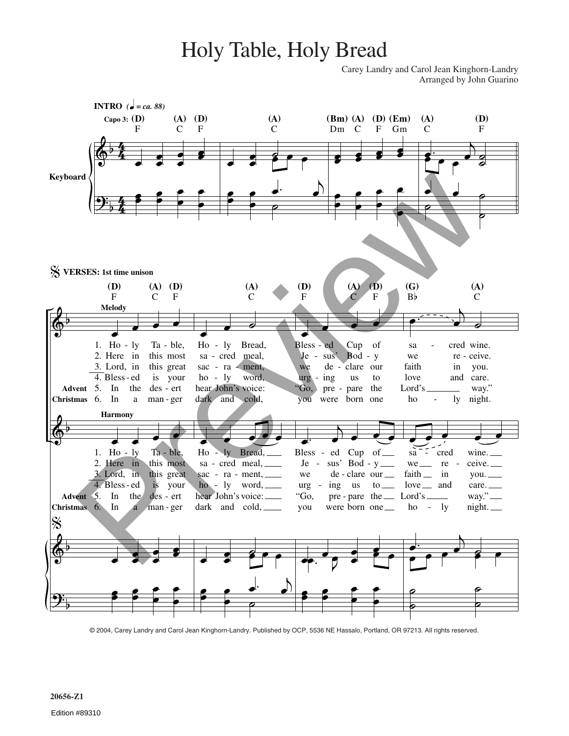## Holy Table, Holy Bread

Carey Landry and Carol Jean Kinghorn-Landry Arranged by John Guarino



© 2004, Carey Landry and Carol Jean Kinghorn-Landry. Published by OCP, 5536 NE Hassalo, Portland, OR 97213. All rights reserved.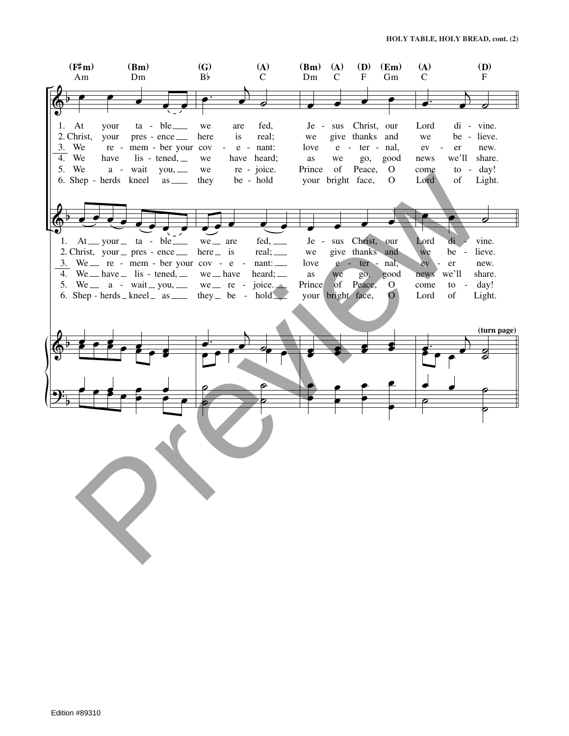